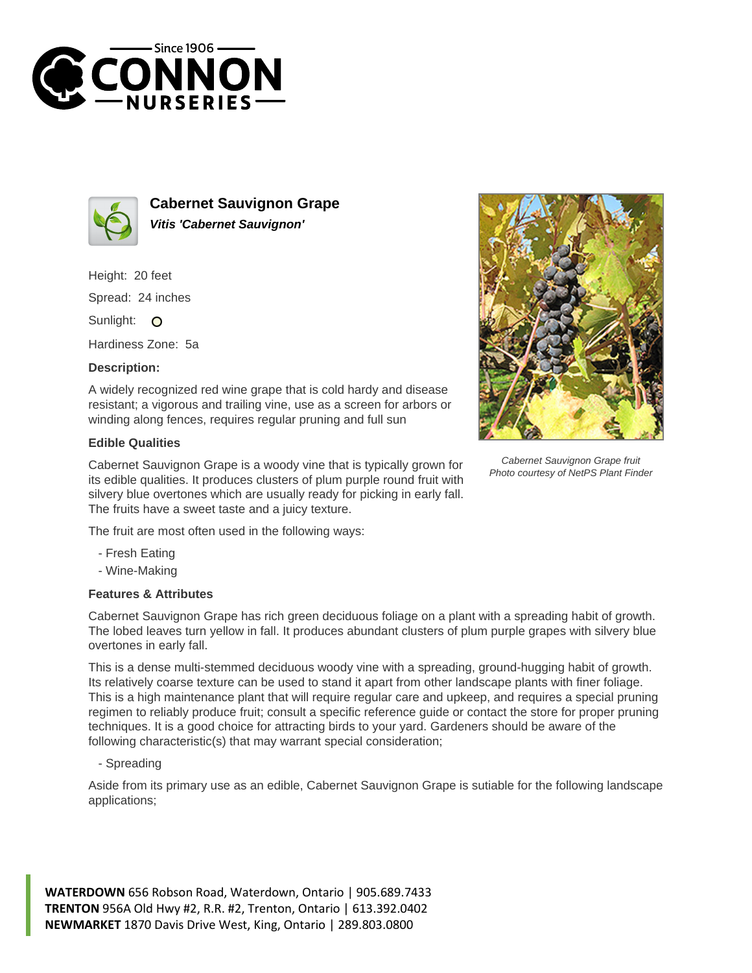



**Cabernet Sauvignon Grape Vitis 'Cabernet Sauvignon'**

Height: 20 feet Spread: 24 inches

Sunlight: O

Hardiness Zone: 5a

## **Description:**

A widely recognized red wine grape that is cold hardy and disease resistant; a vigorous and trailing vine, use as a screen for arbors or winding along fences, requires regular pruning and full sun

## **Edible Qualities**

Cabernet Sauvignon Grape is a woody vine that is typically grown for its edible qualities. It produces clusters of plum purple round fruit with silvery blue overtones which are usually ready for picking in early fall. The fruits have a sweet taste and a juicy texture.

The fruit are most often used in the following ways:

- Fresh Eating
- Wine-Making

## **Features & Attributes**

Cabernet Sauvignon Grape has rich green deciduous foliage on a plant with a spreading habit of growth. The lobed leaves turn yellow in fall. It produces abundant clusters of plum purple grapes with silvery blue overtones in early fall.

This is a dense multi-stemmed deciduous woody vine with a spreading, ground-hugging habit of growth. Its relatively coarse texture can be used to stand it apart from other landscape plants with finer foliage. This is a high maintenance plant that will require regular care and upkeep, and requires a special pruning regimen to reliably produce fruit; consult a specific reference guide or contact the store for proper pruning techniques. It is a good choice for attracting birds to your yard. Gardeners should be aware of the following characteristic(s) that may warrant special consideration;

- Spreading

Aside from its primary use as an edible, Cabernet Sauvignon Grape is sutiable for the following landscape applications;

**WATERDOWN** 656 Robson Road, Waterdown, Ontario | 905.689.7433 **TRENTON** 956A Old Hwy #2, R.R. #2, Trenton, Ontario | 613.392.0402 **NEWMARKET** 1870 Davis Drive West, King, Ontario | 289.803.0800



Cabernet Sauvignon Grape fruit Photo courtesy of NetPS Plant Finder